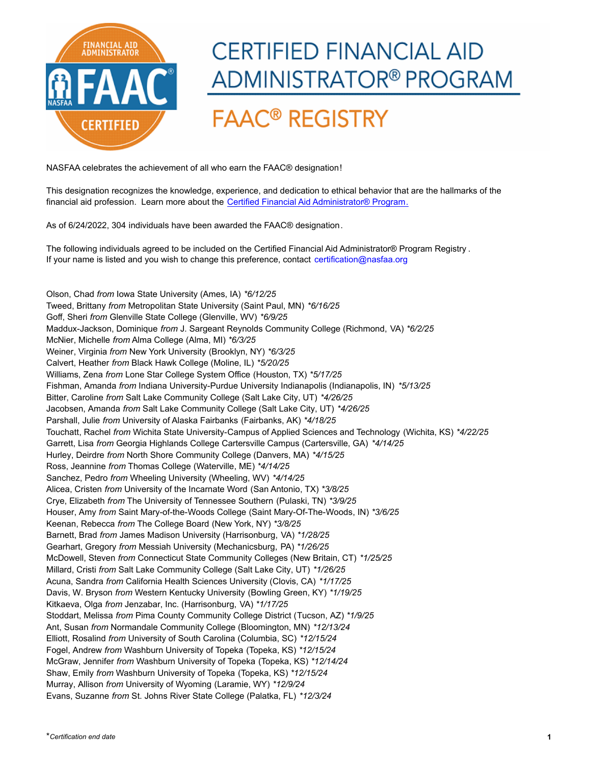

## **CERTIFIED FINANCIAL AID** ADMINISTRATOR® PROGRAM

## **FAAC<sup>®</sup> REGISTRY**

NASFAA celebrates the achievement of all who earn the FAAC® designation!

[This designation recognizes the knowledge, experience, and dedication to ethical behavior that are the hallmarks of the](https://www.nasfaa.org/CFAA)  financial aid profession. Learn more about the Certified Financial Aid Administrator® Program.

As of 6/24/2022, 304 individuals have been awarded the FAAC® designation.

[The following individuals agreed to be included on the Certified Financial Aid Administrator® Program Registry](mailto:cfaa@nasfaa.org?subject=CFAA Inquiry) . If your name is listed and you wish to change this preference, contact certification@nasfaa.org

Olson, Chad *from* Iowa State University (Ames, IA) *\*6/12/25* Tweed, Brittany *from* Metropolitan State University (Saint Paul, MN) *\*6/16/25* Goff, Sheri *from* Glenville State College (Glenville, WV) *\*6/9/25* Maddux-Jackson, Dominique *from* J. Sargeant Reynolds Community College (Richmond, VA) *\*6/2/25* McNier, Michelle *from* Alma College (Alma, MI) *\*6/3/25* Weiner, Virginia *from* New York University (Brooklyn, NY) *\*6/3/25* Calvert, Heather *from* Black Hawk College (Moline, IL) *\*5/20/25* Williams, Zena *from* Lone Star College System Office (Houston, TX) *\*5/17/25* Fishman, Amanda *from* Indiana University-Purdue University Indianapolis (Indianapolis, IN) *\*5/13/25* Bitter, Caroline *from* Salt Lake Community College (Salt Lake City, UT) *\*4/26/25* Jacobsen, Amanda *from* Salt Lake Community College (Salt Lake City, UT) *\*4/26/25* Parshall, Julie *from* University of Alaska Fairbanks (Fairbanks, AK) *\*4/18/25* Touchatt, Rachel *from* Wichita State University-Campus of Applied Sciences and Technology (Wichita, KS) *\*4/22/25* Garrett, Lisa *from* Georgia Highlands College Cartersville Campus (Cartersville, GA) *\*4/14/25* Hurley, Deirdre *from* North Shore Community College (Danvers, MA) *\*4/15/25* Ross, Jeannine *from* Thomas College (Waterville, ME) *\*4/14/25* Sanchez, Pedro *from* Wheeling University (Wheeling, WV) *\*4/14/25* Alicea, Cristen *from* University of the Incarnate Word (San Antonio, TX) *\*3/8/25* Crye, Elizabeth *from* The University of Tennessee Southern (Pulaski, TN) *\*3/9/25* Houser, Amy *from* Saint Mary-of-the-Woods College (Saint Mary-Of-The-Woods, IN) *\*3/6/25* Keenan, Rebecca *from* The College Board (New York, NY) *\*3/8/25* Barnett, Brad *from* James Madison University (Harrisonburg, VA) *\*1/28/25* Gearhart, Gregory *from* Messiah University (Mechanicsburg, PA) *\*1/26/25* McDowell, Steven *from* Connecticut State Community Colleges (New Britain, CT) *\*1/25/25* Millard, Cristi *from* Salt Lake Community College (Salt Lake City, UT) *\*1/26/25* Acuna, Sandra *from* California Health Sciences University (Clovis, CA) *\*1/17/25* Davis, W. Bryson *from* Western Kentucky University (Bowling Green, KY) *\*1/19/25* Kitkaeva, Olga *from* Jenzabar, Inc. (Harrisonburg, VA) *\*1/17/25* Stoddart, Melissa *from* Pima County Community College District (Tucson, AZ) *\*1/9/25* Ant, Susan *from* Normandale Community College (Bloomington, MN) *\*12/13/24* Elliott, Rosalind *from* University of South Carolina (Columbia, SC) *\*12/15/24* Fogel, Andrew *from* Washburn University of Topeka (Topeka, KS) *\*12/15/24* McGraw, Jennifer *from* Washburn University of Topeka (Topeka, KS) *\*12/14/24* Shaw, Emily *from* Washburn University of Topeka (Topeka, KS) *\*12/15/24* Murray, Allison *from* University of Wyoming (Laramie, WY) *\*12/9/24* Evans, Suzanne *from* St. Johns River State College (Palatka, FL) *\*12/3/24*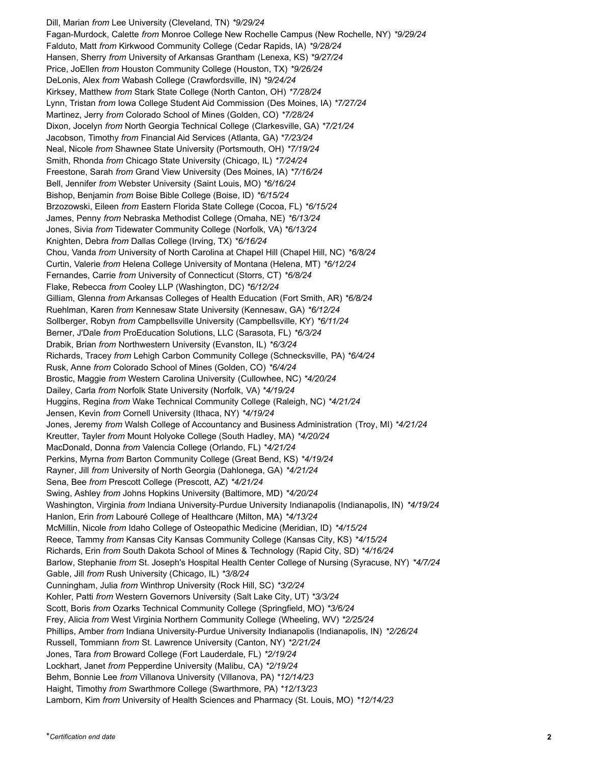Dill, Marian *from* Lee University (Cleveland, TN) *\*9/29/24* Fagan-Murdock, Calette *from* Monroe College New Rochelle Campus (New Rochelle, NY) *\*9/29/24* Falduto, Matt *from* Kirkwood Community College (Cedar Rapids, IA) *\*9/28/24* Hansen, Sherry *from* University of Arkansas Grantham (Lenexa, KS) *\*9/27/24* Price, JoEllen *from* Houston Community College (Houston, TX) *\*9/26/24* DeLonis, Alex *from* Wabash College (Crawfordsville, IN) *\*9/24/24* Kirksey, Matthew *from* Stark State College (North Canton, OH) *\*7/28/24* Lynn, Tristan *from* Iowa College Student Aid Commission (Des Moines, IA) *\*7/27/24* Martinez, Jerry *from* Colorado School of Mines (Golden, CO) *\*7/28/24* Dixon, Jocelyn *from* North Georgia Technical College (Clarkesville, GA) *\*7/21/24* Jacobson, Timothy *from* Financial Aid Services (Atlanta, GA) *\*7/23/24* Neal, Nicole *from* Shawnee State University (Portsmouth, OH) *\*7/19/24* Smith, Rhonda *from* Chicago State University (Chicago, IL) *\*7/24/24* Freestone, Sarah *from* Grand View University (Des Moines, IA) *\*7/16/24* Bell, Jennifer *from* Webster University (Saint Louis, MO) *\*6/16/24* Bishop, Benjamin *from* Boise Bible College (Boise, ID) *\*6/15/24* Brzozowski, Eileen *from* Eastern Florida State College (Cocoa, FL) *\*6/15/24* James, Penny *from* Nebraska Methodist College (Omaha, NE) *\*6/13/24* Jones, Sivia *from* Tidewater Community College (Norfolk, VA) *\*6/13/24* Knighten, Debra *from* Dallas College (Irving, TX) *\*6/16/24* Chou, Vanda *from* University of North Carolina at Chapel Hill (Chapel Hill, NC) *\*6/8/24* Curtin, Valerie *from* Helena College University of Montana (Helena, MT) *\*6/12/24* Fernandes, Carrie *from* University of Connecticut (Storrs, CT) *\*6/8/24* Flake, Rebecca *from* Cooley LLP (Washington, DC) *\*6/12/24* Gilliam, Glenna *from* Arkansas Colleges of Health Education (Fort Smith, AR) *\*6/8/24* Ruehlman, Karen *from* Kennesaw State University (Kennesaw, GA) *\*6/12/24* Sollberger, Robyn *from* Campbellsville University (Campbellsville, KY) *\*6/11/24* Berner, J'Dale *from* ProEducation Solutions, LLC (Sarasota, FL) *\*6/3/24* Drabik, Brian *from* Northwestern University (Evanston, IL) *\*6/3/24* Richards, Tracey *from* Lehigh Carbon Community College (Schnecksville, PA) *\*6/4/24* Rusk, Anne *from* Colorado School of Mines (Golden, CO) *\*6/4/24* Brostic, Maggie *from* Western Carolina University (Cullowhee, NC) *\*4/20/24* Dailey, Carla *from* Norfolk State University (Norfolk, VA) *\*4/19/24* Huggins, Regina *from* Wake Technical Community College (Raleigh, NC) *\*4/21/24* Jensen, Kevin *from* Cornell University (Ithaca, NY) *\*4/19/24* Jones, Jeremy *from* Walsh College of Accountancy and Business Administration (Troy, MI) *\*4/21/24* Kreutter, Tayler *from* Mount Holyoke College (South Hadley, MA) *\*4/20/24* MacDonald, Donna *from* Valencia College (Orlando, FL) *\*4/21/24* Perkins, Myrna *from* Barton Community College (Great Bend, KS) *\*4/19/24* Rayner, Jill *from* University of North Georgia (Dahlonega, GA) *\*4/21/24* Sena, Bee *from* Prescott College (Prescott, AZ) *\*4/21/24* Swing, Ashley *from* Johns Hopkins University (Baltimore, MD) *\*4/20/24* Washington, Virginia *from* Indiana University-Purdue University Indianapolis (Indianapolis, IN) *\*4/19/24* Hanlon, Erin *from* Labouré College of Healthcare (Milton, MA) *\*4/13/24* McMillin, Nicole *from* Idaho College of Osteopathic Medicine (Meridian, ID) *\*4/15/24* Reece, Tammy *from* Kansas City Kansas Community College (Kansas City, KS) *\*4/15/24* Richards, Erin *from* South Dakota School of Mines & Technology (Rapid City, SD) *\*4/16/24* Barlow, Stephanie *from* St. Joseph's Hospital Health Center College of Nursing (Syracuse, NY) *\*4/7/24* Gable, Jill *from* Rush University (Chicago, IL) *\*3/8/24* Cunningham, Julia *from* Winthrop University (Rock Hill, SC) *\*3/2/24* Kohler, Patti *from* Western Governors University (Salt Lake City, UT) *\*3/3/24* Scott, Boris *from* Ozarks Technical Community College (Springfield, MO) *\*3/6/24* Frey, Alicia *from* West Virginia Northern Community College (Wheeling, WV) *\*2/25/24* Phillips, Amber *from* Indiana University-Purdue University Indianapolis (Indianapolis, IN) *\*2/26/24* Russell, Tommiann *from* St. Lawrence University (Canton, NY) *\*2/21/24* Jones, Tara *from* Broward College (Fort Lauderdale, FL) *\*2/19/24* Lockhart, Janet *from* Pepperdine University (Malibu, CA) *\*2/19/24* Behm, Bonnie Lee *from* Villanova University (Villanova, PA) *\*12/14/23* Haight, Timothy *from* Swarthmore College (Swarthmore, PA) *\*12/13/23* Lamborn, Kim *from* University of Health Sciences and Pharmacy (St. Louis, MO) *\*12/14/23*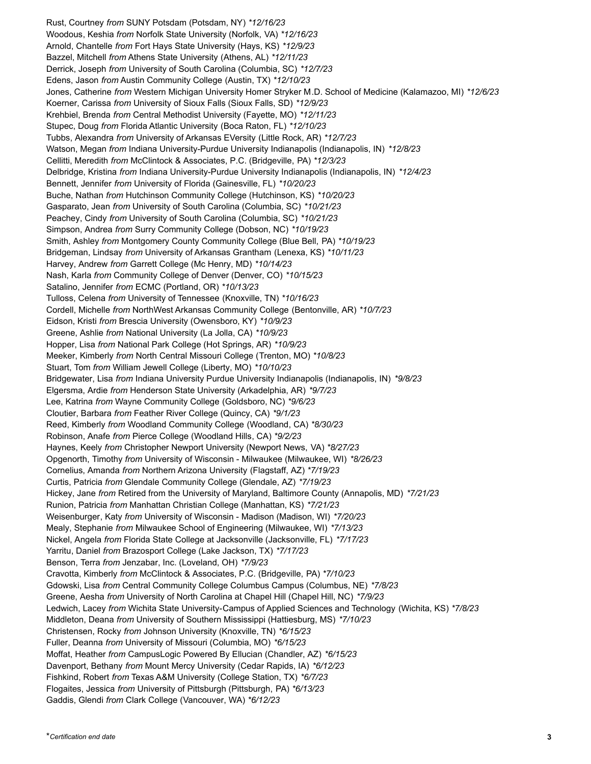Rust, Courtney *from* SUNY Potsdam (Potsdam, NY) *\*12/16/23* Woodous, Keshia *from* Norfolk State University (Norfolk, VA) *\*12/16/23* Arnold, Chantelle *from* Fort Hays State University (Hays, KS) *\*12/9/23* Bazzel, Mitchell *from* Athens State University (Athens, AL) *\*12/11/23* Derrick, Joseph *from* University of South Carolina (Columbia, SC) *\*12/7/23* Edens, Jason *from* Austin Community College (Austin, TX) *\*12/10/23* Jones, Catherine *from* Western Michigan University Homer Stryker M.D. School of Medicine (Kalamazoo, MI) *\*12/6/23* Koerner, Carissa *from* University of Sioux Falls (Sioux Falls, SD) *\*12/9/23* Krehbiel, Brenda *from* Central Methodist University (Fayette, MO) *\*12/11/23* Stupec, Doug *from* Florida Atlantic University (Boca Raton, FL) *\*12/10/23* Tubbs, Alexandra *from* University of Arkansas EVersity (Little Rock, AR) *\*12/7/23* Watson, Megan *from* Indiana University-Purdue University Indianapolis (Indianapolis, IN) *\*12/8/23* Cellitti, Meredith *from* McClintock & Associates, P.C. (Bridgeville, PA) *\*12/3/23* Delbridge, Kristina *from* Indiana University-Purdue University Indianapolis (Indianapolis, IN) *\*12/4/23* Bennett, Jennifer *from* University of Florida (Gainesville, FL) *\*10/20/23* Buche, Nathan *from* Hutchinson Community College (Hutchinson, KS) *\*10/20/23* Gasparato, Jean *from* University of South Carolina (Columbia, SC) *\*10/21/23* Peachey, Cindy *from* University of South Carolina (Columbia, SC) *\*10/21/23* Simpson, Andrea *from* Surry Community College (Dobson, NC) *\*10/19/23* Smith, Ashley *from* Montgomery County Community College (Blue Bell, PA) *\*10/19/23* Bridgeman, Lindsay *from* University of Arkansas Grantham (Lenexa, KS) *\*10/11/23* Harvey, Andrew *from* Garrett College (Mc Henry, MD) *\*10/14/23* Nash, Karla *from* Community College of Denver (Denver, CO) *\*10/15/23* Satalino, Jennifer *from* ECMC (Portland, OR) *\*10/13/23* Tulloss, Celena *from* University of Tennessee (Knoxville, TN) *\*10/16/23* Cordell, Michelle *from* NorthWest Arkansas Community College (Bentonville, AR) *\*10/7/23* Eidson, Kristi *from* Brescia University (Owensboro, KY) *\*10/9/23* Greene, Ashlie *from* National University (La Jolla, CA) *\*10/9/23* Hopper, Lisa *from* National Park College (Hot Springs, AR) *\*10/9/23* Meeker, Kimberly *from* North Central Missouri College (Trenton, MO) *\*10/8/23* Stuart, Tom *from* William Jewell College (Liberty, MO) *\*10/10/23* Bridgewater, Lisa *from* Indiana University Purdue University Indianapolis (Indianapolis, IN) *\*9/8/23* Elgersma, Ardie *from* Henderson State University (Arkadelphia, AR) *\*9/7/23* Lee, Katrina *from* Wayne Community College (Goldsboro, NC) *\*9/6/23* Cloutier, Barbara *from* Feather River College (Quincy, CA) *\*9/1/23* Reed, Kimberly *from* Woodland Community College (Woodland, CA) *\*8/30/23* Robinson, Anafe *from* Pierce College (Woodland Hills, CA) *\*9/2/23* Haynes, Keely *from* Christopher Newport University (Newport News, VA) *\*8/27/23* Opgenorth, Timothy *from* University of Wisconsin - Milwaukee (Milwaukee, WI) *\*8/26/23* Cornelius, Amanda *from* Northern Arizona University (Flagstaff, AZ) *\*7/19/23* Curtis, Patricia *from* Glendale Community College (Glendale, AZ) *\*7/19/23* Hickey, Jane *from* Retired from the University of Maryland, Baltimore County (Annapolis, MD) *\*7/21/23* Runion, Patricia *from* Manhattan Christian College (Manhattan, KS) *\*7/21/23* Weisenburger, Katy *from* University of Wisconsin - Madison (Madison, WI) *\*7/20/23* Mealy, Stephanie *from* Milwaukee School of Engineering (Milwaukee, WI) *\*7/13/23* Nickel, Angela *from* Florida State College at Jacksonville (Jacksonville, FL) *\*7/17/23* Yarritu, Daniel *from* Brazosport College (Lake Jackson, TX) *\*7/17/23* Benson, Terra *from* Jenzabar, Inc. (Loveland, OH) *\*7/9/23* Cravotta, Kimberly *from* McClintock & Associates, P.C. (Bridgeville, PA) *\*7/10/23* Gdowski, Lisa *from* Central Community College Columbus Campus (Columbus, NE) *\*7/8/23* Greene, Aesha *from* University of North Carolina at Chapel Hill (Chapel Hill, NC) *\*7/9/23* Ledwich, Lacey *from* Wichita State University-Campus of Applied Sciences and Technology (Wichita, KS) *\*7/8/23* Middleton, Deana *from* University of Southern Mississippi (Hattiesburg, MS) *\*7/10/23* Christensen, Rocky *from* Johnson University (Knoxville, TN) *\*6/15/23* Fuller, Deanna *from* University of Missouri (Columbia, MO) *\*6/15/23* Moffat, Heather *from* CampusLogic Powered By Ellucian (Chandler, AZ) *\*6/15/23* Davenport, Bethany *from* Mount Mercy University (Cedar Rapids, IA) *\*6/12/23* Fishkind, Robert *from* Texas A&M University (College Station, TX) *\*6/7/23* Flogaites, Jessica *from* University of Pittsburgh (Pittsburgh, PA) *\*6/13/23* Gaddis, Glendi *from* Clark College (Vancouver, WA) *\*6/12/23*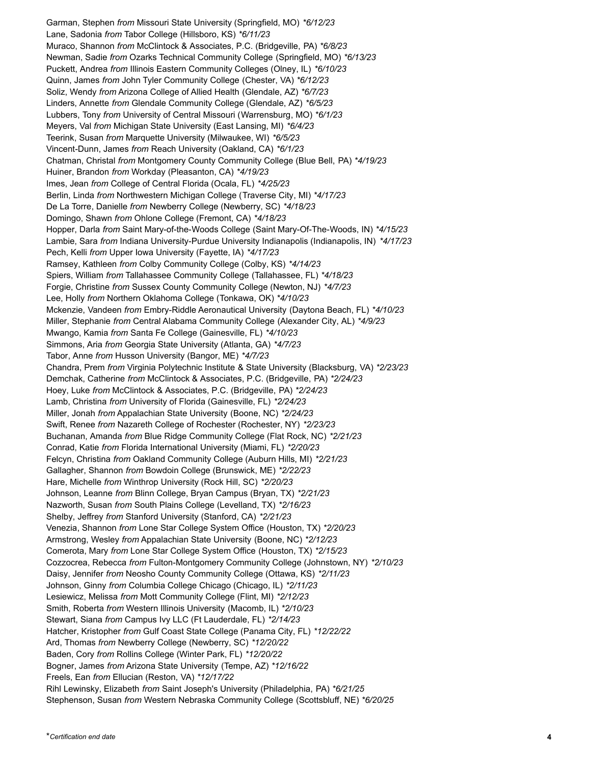Garman, Stephen *from* Missouri State University (Springfield, MO) *\*6/12/23* Lane, Sadonia *from* Tabor College (Hillsboro, KS) *\*6/11/23* Muraco, Shannon *from* McClintock & Associates, P.C. (Bridgeville, PA) *\*6/8/23* Newman, Sadie *from* Ozarks Technical Community College (Springfield, MO) *\*6/13/23* Puckett, Andrea *from* Illinois Eastern Community Colleges (Olney, IL) *\*6/10/23* Quinn, James *from* John Tyler Community College (Chester, VA) *\*6/12/23* Soliz, Wendy *from* Arizona College of Allied Health (Glendale, AZ) *\*6/7/23* Linders, Annette *from* Glendale Community College (Glendale, AZ) *\*6/5/23* Lubbers, Tony *from* University of Central Missouri (Warrensburg, MO) *\*6/1/23* Meyers, Val *from* Michigan State University (East Lansing, MI) *\*6/4/23* Teerink, Susan *from* Marquette University (Milwaukee, WI) *\*6/5/23* Vincent-Dunn, James *from* Reach University (Oakland, CA) *\*6/1/23* Chatman, Christal *from* Montgomery County Community College (Blue Bell, PA) *\*4/19/23* Huiner, Brandon *from* Workday (Pleasanton, CA) *\*4/19/23* Imes, Jean *from* College of Central Florida (Ocala, FL) *\*4/25/23* Berlin, Linda *from* Northwestern Michigan College (Traverse City, MI) *\*4/17/23* De La Torre, Danielle *from* Newberry College (Newberry, SC) *\*4/18/23* Domingo, Shawn *from* Ohlone College (Fremont, CA) *\*4/18/23* Hopper, Darla *from* Saint Mary-of-the-Woods College (Saint Mary-Of-The-Woods, IN) *\*4/15/23* Lambie, Sara *from* Indiana University-Purdue University Indianapolis (Indianapolis, IN) *\*4/17/23* Pech, Kelli *from* Upper Iowa University (Fayette, IA) *\*4/17/23* Ramsey, Kathleen *from* Colby Community College (Colby, KS) *\*4/14/23* Spiers, William *from* Tallahassee Community College (Tallahassee, FL) *\*4/18/23* Forgie, Christine *from* Sussex County Community College (Newton, NJ) *\*4/7/23* Lee, Holly *from* Northern Oklahoma College (Tonkawa, OK) *\*4/10/23* Mckenzie, Vandeen *from* Embry-Riddle Aeronautical University (Daytona Beach, FL) *\*4/10/23* Miller, Stephanie *from* Central Alabama Community College (Alexander City, AL) *\*4/9/23* Mwango, Kamia *from* Santa Fe College (Gainesville, FL) *\*4/10/23* Simmons, Aria *from* Georgia State University (Atlanta, GA) *\*4/7/23* Tabor, Anne *from* Husson University (Bangor, ME) *\*4/7/23* Chandra, Prem *from* Virginia Polytechnic Institute & State University (Blacksburg, VA) *\*2/23/23* Demchak, Catherine *from* McClintock & Associates, P.C. (Bridgeville, PA) *\*2/24/23* Hoey, Luke *from* McClintock & Associates, P.C. (Bridgeville, PA) *\*2/24/23* Lamb, Christina *from* University of Florida (Gainesville, FL) *\*2/24/23* Miller, Jonah *from* Appalachian State University (Boone, NC) *\*2/24/23* Swift, Renee *from* Nazareth College of Rochester (Rochester, NY) *\*2/23/23* Buchanan, Amanda *from* Blue Ridge Community College (Flat Rock, NC) *\*2/21/23* Conrad, Katie *from* Florida International University (Miami, FL) *\*2/20/23* Felcyn, Christina *from* Oakland Community College (Auburn Hills, MI) *\*2/21/23* Gallagher, Shannon *from* Bowdoin College (Brunswick, ME) *\*2/22/23* Hare, Michelle *from* Winthrop University (Rock Hill, SC) *\*2/20/23* Johnson, Leanne *from* Blinn College, Bryan Campus (Bryan, TX) *\*2/21/23* Nazworth, Susan *from* South Plains College (Levelland, TX) *\*2/16/23* Shelby, Jeffrey *from* Stanford University (Stanford, CA) *\*2/21/23* Venezia, Shannon *from* Lone Star College System Office (Houston, TX) *\*2/20/23* Armstrong, Wesley *from* Appalachian State University (Boone, NC) *\*2/12/23* Comerota, Mary *from* Lone Star College System Office (Houston, TX) *\*2/15/23* Cozzocrea, Rebecca *from* Fulton-Montgomery Community College (Johnstown, NY) *\*2/10/23* Daisy, Jennifer *from* Neosho County Community College (Ottawa, KS) *\*2/11/23* Johnson, Ginny *from* Columbia College Chicago (Chicago, IL) *\*2/11/23* Lesiewicz, Melissa *from* Mott Community College (Flint, MI) *\*2/12/23* Smith, Roberta *from* Western Illinois University (Macomb, IL) *\*2/10/23* Stewart, Siana *from* Campus Ivy LLC (Ft Lauderdale, FL) *\*2/14/23* Hatcher, Kristopher *from* Gulf Coast State College (Panama City, FL) *\*12/22/22* Ard, Thomas *from* Newberry College (Newberry, SC) *\*12/20/22* Baden, Cory *from* Rollins College (Winter Park, FL) *\*12/20/22* Bogner, James *from* Arizona State University (Tempe, AZ) *\*12/16/22* Freels, Ean *from* Ellucian (Reston, VA) *\*12/17/22* Rihl Lewinsky, Elizabeth *from* Saint Joseph's University (Philadelphia, PA) *\*6/21/25* Stephenson, Susan *from* Western Nebraska Community College (Scottsbluff, NE) *\*6/20/25*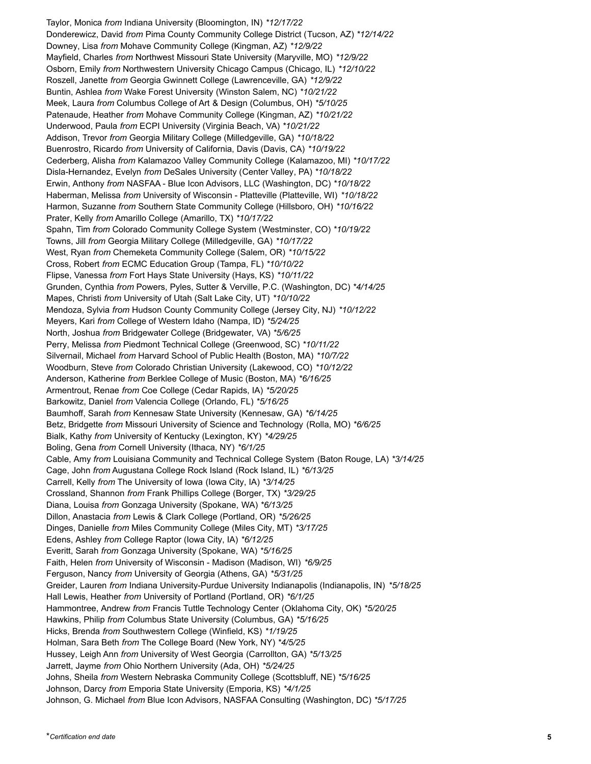Taylor, Monica *from* Indiana University (Bloomington, IN) *\*12/17/22* Donderewicz, David *from* Pima County Community College District (Tucson, AZ) *\*12/14/22* Downey, Lisa *from* Mohave Community College (Kingman, AZ) *\*12/9/22* Mayfield, Charles *from* Northwest Missouri State University (Maryville, MO) *\*12/9/22* Osborn, Emily *from* Northwestern University Chicago Campus (Chicago, IL) *\*12/10/22* Roszell, Janette *from* Georgia Gwinnett College (Lawrenceville, GA) *\*12/9/22* Buntin, Ashlea *from* Wake Forest University (Winston Salem, NC) *\*10/21/22* Meek, Laura *from* Columbus College of Art & Design (Columbus, OH) *\*5/10/25* Patenaude, Heather *from* Mohave Community College (Kingman, AZ) *\*10/21/22* Underwood, Paula *from* ECPI University (Virginia Beach, VA) *\*10/21/22* Addison, Trevor *from* Georgia Military College (Milledgeville, GA) *\*10/18/22* Buenrostro, Ricardo *from* University of California, Davis (Davis, CA) *\*10/19/22* Cederberg, Alisha *from* Kalamazoo Valley Community College (Kalamazoo, MI) *\*10/17/22* Disla-Hernandez, Evelyn *from* DeSales University (Center Valley, PA) *\*10/18/22* Erwin, Anthony *from* NASFAA - Blue Icon Advisors, LLC (Washington, DC) *\*10/18/22* Haberman, Melissa *from* University of Wisconsin - Platteville (Platteville, WI) *\*10/18/22* Harmon, Suzanne *from* Southern State Community College (Hillsboro, OH) *\*10/16/22* Prater, Kelly *from* Amarillo College (Amarillo, TX) *\*10/17/22* Spahn, Tim *from* Colorado Community College System (Westminster, CO) *\*10/19/22* Towns, Jill *from* Georgia Military College (Milledgeville, GA) *\*10/17/22* West, Ryan *from* Chemeketa Community College (Salem, OR) *\*10/15/22* Cross, Robert *from* ECMC Education Group (Tampa, FL) *\*10/10/22* Flipse, Vanessa *from* Fort Hays State University (Hays, KS) *\*10/11/22* Grunden, Cynthia *from* Powers, Pyles, Sutter & Verville, P.C. (Washington, DC) *\*4/14/25* Mapes, Christi *from* University of Utah (Salt Lake City, UT) *\*10/10/22* Mendoza, Sylvia *from* Hudson County Community College (Jersey City, NJ) *\*10/12/22* Meyers, Kari *from* College of Western Idaho (Nampa, ID) *\*5/24/25* North, Joshua *from* Bridgewater College (Bridgewater, VA) *\*5/6/25* Perry, Melissa *from* Piedmont Technical College (Greenwood, SC) *\*10/11/22* Silvernail, Michael *from* Harvard School of Public Health (Boston, MA) *\*10/7/22* Woodburn, Steve *from* Colorado Christian University (Lakewood, CO) *\*10/12/22* Anderson, Katherine *from* Berklee College of Music (Boston, MA) *\*6/16/25* Armentrout, Renae *from* Coe College (Cedar Rapids, IA) *\*5/20/25* Barkowitz, Daniel *from* Valencia College (Orlando, FL) *\*5/16/25* Baumhoff, Sarah *from* Kennesaw State University (Kennesaw, GA) *\*6/14/25* Betz, Bridgette *from* Missouri University of Science and Technology (Rolla, MO) *\*6/6/25* Bialk, Kathy *from* University of Kentucky (Lexington, KY) *\*4/29/25* Boling, Gena *from* Cornell University (Ithaca, NY) *\*6/1/25* Cable, Amy *from* Louisiana Community and Technical College System (Baton Rouge, LA) *\*3/14/25* Cage, John *from* Augustana College Rock Island (Rock Island, IL) *\*6/13/25* Carrell, Kelly *from* The University of Iowa (Iowa City, IA) *\*3/14/25* Crossland, Shannon *from* Frank Phillips College (Borger, TX) *\*3/29/25* Diana, Louisa *from* Gonzaga University (Spokane, WA) *\*6/13/25* Dillon, Anastacia *from* Lewis & Clark College (Portland, OR) *\*5/26/25* Dinges, Danielle *from* Miles Community College (Miles City, MT) *\*3/17/25* Edens, Ashley *from* College Raptor (Iowa City, IA) *\*6/12/25* Everitt, Sarah *from* Gonzaga University (Spokane, WA) *\*5/16/25* Faith, Helen *from* University of Wisconsin - Madison (Madison, WI) *\*6/9/25* Ferguson, Nancy *from* University of Georgia (Athens, GA) *\*5/31/25* Greider, Lauren *from* Indiana University-Purdue University Indianapolis (Indianapolis, IN) *\*5/18/25* Hall Lewis, Heather *from* University of Portland (Portland, OR) *\*6/1/25* Hammontree, Andrew *from* Francis Tuttle Technology Center (Oklahoma City, OK) *\*5/20/25* Hawkins, Philip *from* Columbus State University (Columbus, GA) *\*5/16/25* Hicks, Brenda *from* Southwestern College (Winfield, KS) *\*1/19/25* Holman, Sara Beth *from* The College Board (New York, NY) *\*4/5/25* Hussey, Leigh Ann *from* University of West Georgia (Carrollton, GA) *\*5/13/25* Jarrett, Jayme *from* Ohio Northern University (Ada, OH) *\*5/24/25* Johns, Sheila *from* Western Nebraska Community College (Scottsbluff, NE) *\*5/16/25* Johnson, Darcy *from* Emporia State University (Emporia, KS) *\*4/1/25* Johnson, G. Michael *from* Blue Icon Advisors, NASFAA Consulting (Washington, DC) *\*5/17/25*